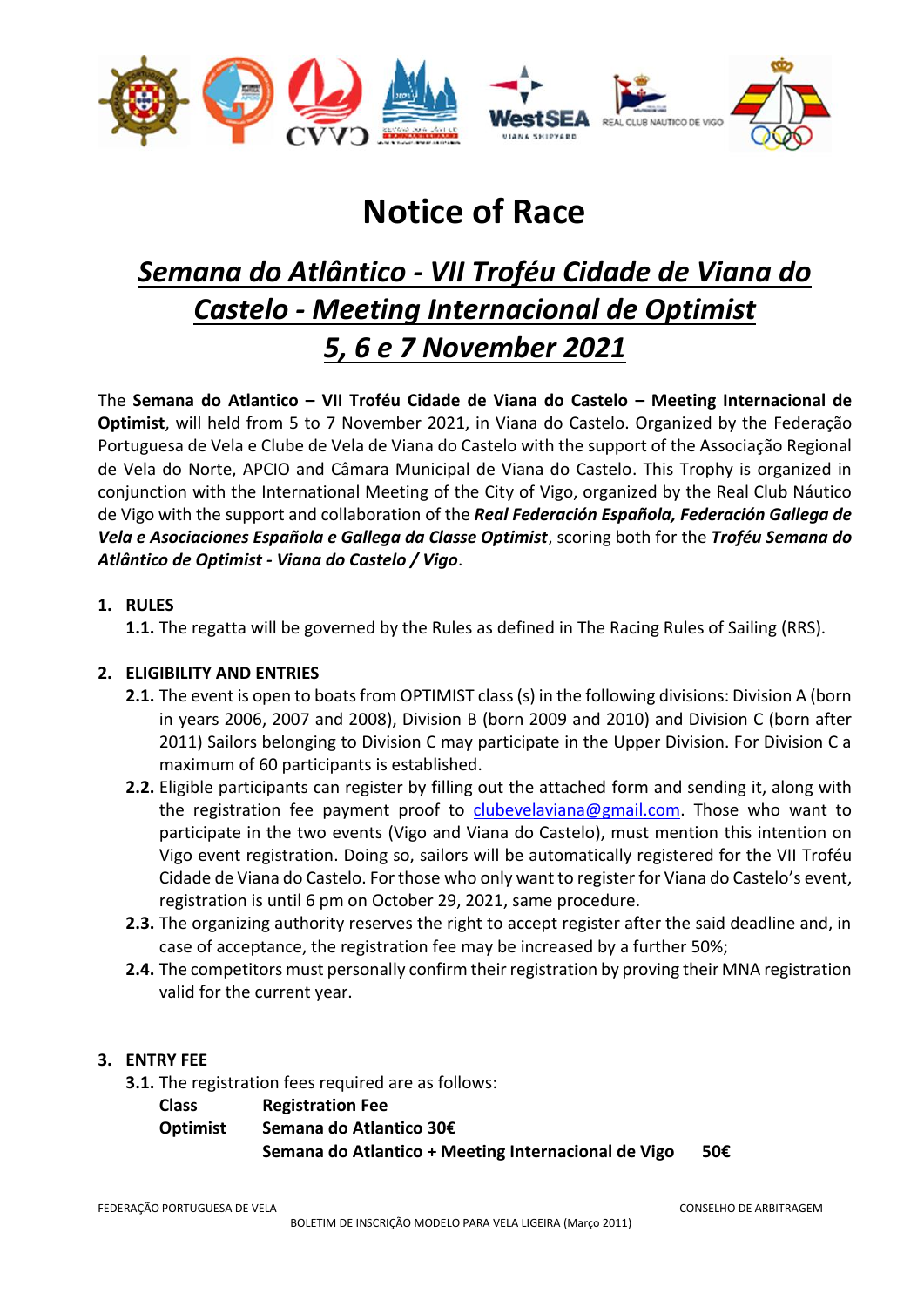

# **Notice of Race**

# *Semana do Atlântico - VII Troféu Cidade de Viana do Castelo - Meeting Internacional de Optimist 5, 6 e 7 November 2021*

The **Semana do Atlantico – VII Troféu Cidade de Viana do Castelo – Meeting Internacional de Optimist**, will held from 5 to 7 November 2021, in Viana do Castelo. Organized by the Federação Portuguesa de Vela e Clube de Vela de Viana do Castelo with the support of the Associação Regional de Vela do Norte, APCIO and Câmara Municipal de Viana do Castelo. This Trophy is organized in conjunction with the International Meeting of the City of Vigo, organized by the Real Club Náutico de Vigo with the support and collaboration of the *Real Federación Española, Federación Gallega de Vela e Asociaciones Española e Gallega da Classe Optimist*, scoring both for the *Troféu Semana do Atlântico de Optimist - Viana do Castelo / Vigo*.

# **1. RULES**

**1.1.** The regatta will be governed by the Rules as defined in The Racing Rules of Sailing (RRS).

# **2. ELIGIBILITY AND ENTRIES**

- **2.1.** The event is open to boats from OPTIMIST class (s) in the following divisions: Division A (born in years 2006, 2007 and 2008), Division B (born 2009 and 2010) and Division C (born after 2011) Sailors belonging to Division C may participate in the Upper Division. For Division C a maximum of 60 participants is established.
- **2.2.** Eligible participants can register by filling out the attached form and sending it, along with the registration fee payment proof to [clubevelaviana@gmail.com.](mailto:clubevelaviana@gmail.com) Those who want to participate in the two events (Vigo and Viana do Castelo), must mention this intention on Vigo event registration. Doing so, sailors will be automatically registered for the VII Troféu Cidade de Viana do Castelo. For those who only want to register for Viana do Castelo's event, registration is until 6 pm on October 29, 2021, same procedure.
- **2.3.** The organizing authority reserves the right to accept register after the said deadline and, in case of acceptance, the registration fee may be increased by a further 50%;
- **2.4.** The competitors must personally confirm their registration by proving their MNA registration valid for the current year.

# **3. ENTRY FEE**

- **3.1.** The registration fees required are as follows:
	- **Class Registration Fee**

**Optimist Semana do Atlantico 30€ Semana do Atlantico + Meeting Internacional de Vigo 50€**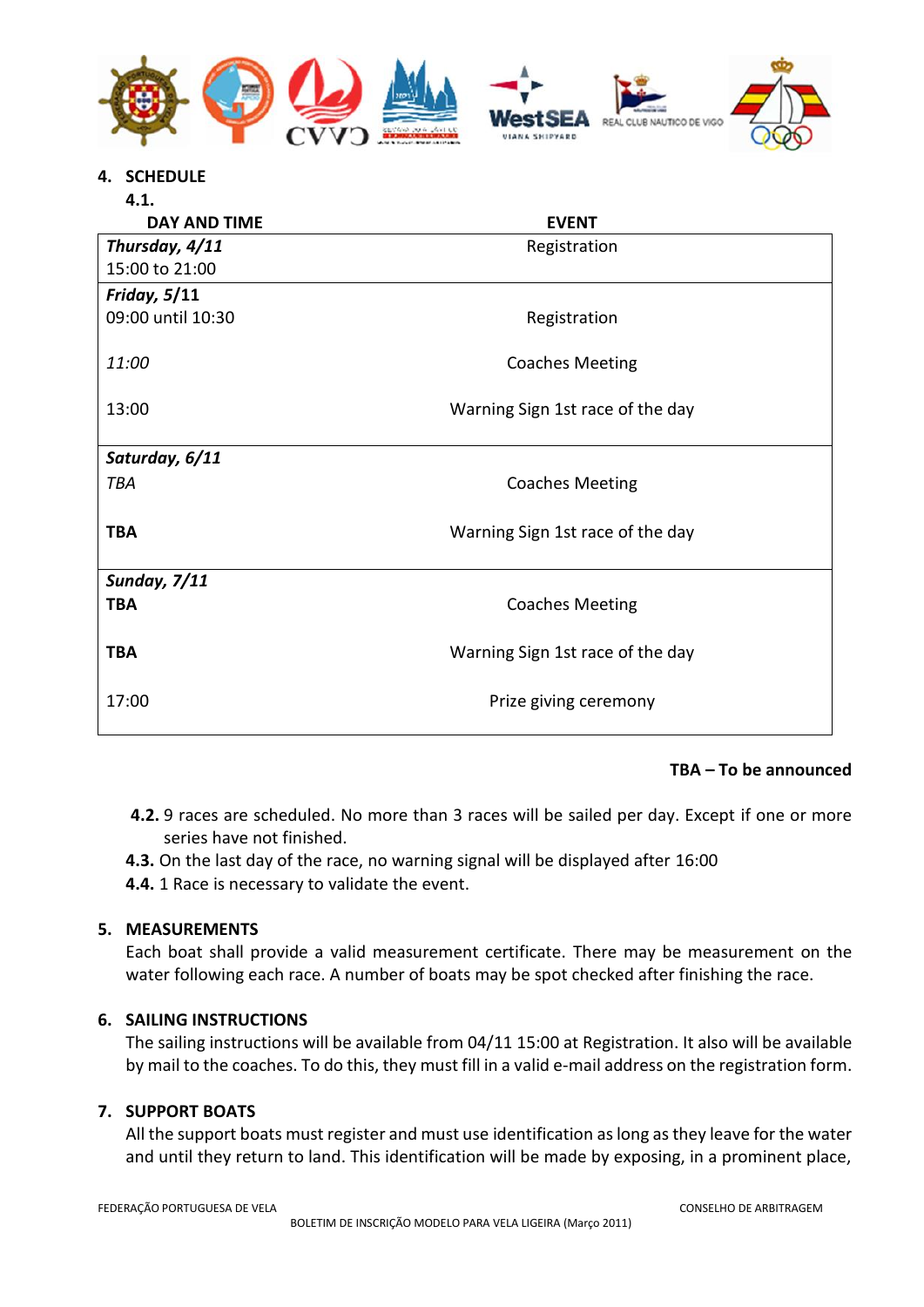

**4. SCHEDULE**

| 4.1.                |                                  |
|---------------------|----------------------------------|
| <b>DAY AND TIME</b> | <b>EVENT</b>                     |
| Thursday, 4/11      | Registration                     |
| 15:00 to 21:00      |                                  |
| <b>Friday, 5/11</b> |                                  |
| 09:00 until 10:30   | Registration                     |
|                     |                                  |
| 11:00               | <b>Coaches Meeting</b>           |
|                     |                                  |
| 13:00               | Warning Sign 1st race of the day |
| Saturday, 6/11      |                                  |
|                     |                                  |
| <b>TBA</b>          | <b>Coaches Meeting</b>           |
|                     |                                  |
| TBA                 | Warning Sign 1st race of the day |
| <b>Sunday, 7/11</b> |                                  |
| <b>TBA</b>          | <b>Coaches Meeting</b>           |
|                     |                                  |
| <b>TBA</b>          | Warning Sign 1st race of the day |
|                     |                                  |
| 17:00               | Prize giving ceremony            |
|                     |                                  |

#### **TBA – To be announced**

- **4.2.** 9 races are scheduled. No more than 3 races will be sailed per day. Except if one or more series have not finished.
- **4.3.** On the last day of the race, no warning signal will be displayed after 16:00
- **4.4.** 1 Race is necessary to validate the event.

#### **5. MEASUREMENTS**

Each boat shall provide a valid measurement certificate. There may be measurement on the water following each race. A number of boats may be spot checked after finishing the race.

#### **6. SAILING INSTRUCTIONS**

The sailing instructions will be available from 04/11 15:00 at Registration. It also will be available by mail to the coaches. To do this, they must fill in a valid e-mail address on the registration form.

#### **7. SUPPORT BOATS**

All the support boats must register and must use identification as long as they leave for the water and until they return to land. This identification will be made by exposing, in a prominent place,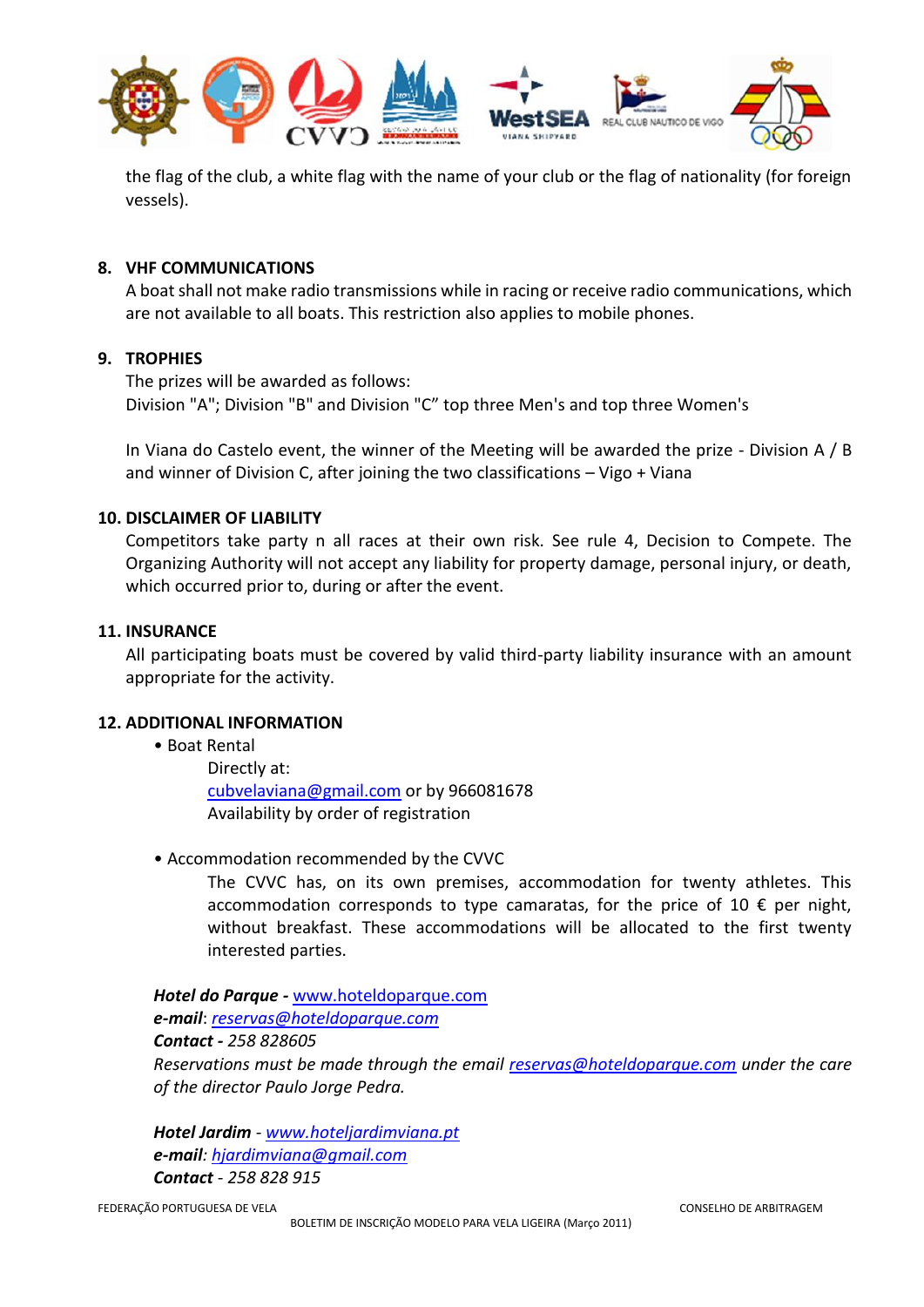

the flag of the club, a white flag with the name of your club or the flag of nationality (for foreign vessels).

### **8. VHF COMMUNICATIONS**

A boat shall not make radio transmissions while in racing or receive radio communications, which are not available to all boats. This restriction also applies to mobile phones.

#### **9. TROPHIES**

The prizes will be awarded as follows: Division "A"; Division "B" and Division "C" top three Men's and top three Women's

In Viana do Castelo event, the winner of the Meeting will be awarded the prize - Division A / B and winner of Division C, after joining the two classifications – Vigo + Viana

#### **10. DISCLAIMER OF LIABILITY**

Competitors take party n all races at their own risk. See rule 4, Decision to Compete. The Organizing Authority will not accept any liability for property damage, personal injury, or death, which occurred prior to, during or after the event.

#### **11. INSURANCE**

All participating boats must be covered by valid third-party liability insurance with an amount appropriate for the activity.

#### **12. ADDITIONAL INFORMATION**

- Boat Rental Directly at: [cubvelaviana@gmail.com](mailto:cubvelaviana@gmail.com) or by 966081678 Availability by order of registration
- Accommodation recommended by the CVVC

The CVVC has, on its own premises, accommodation for twenty athletes. This accommodation corresponds to type camaratas, for the price of 10  $\epsilon$  per night, without breakfast. These accommodations will be allocated to the first twenty interested parties.

*Hotel do Parque -* [www.hoteldoparque.com](http://www.hoteldoparque.com/) *e-mail*: *[reservas@hoteldoparque.com](mailto:reservas@hoteldoparque.com)*

# *Contact - 258 828605*

*Reservations must be made through the email [reservas@hoteldoparque.com](mailto:reservas@hoteldoparque.com) under the care of the director Paulo Jorge Pedra.*

*Hotel Jardim - [www.hoteljardimviana.pt](http://www.hoteljardimviana.pt/) e-mail: [hjardimviana@gmail.com](mailto:hjardimviana@gmail.com) Contact - 258 828 915*

FEDERAÇÃO PORTUGUESA DE VELA CONSELHO DE ARBITRAGEM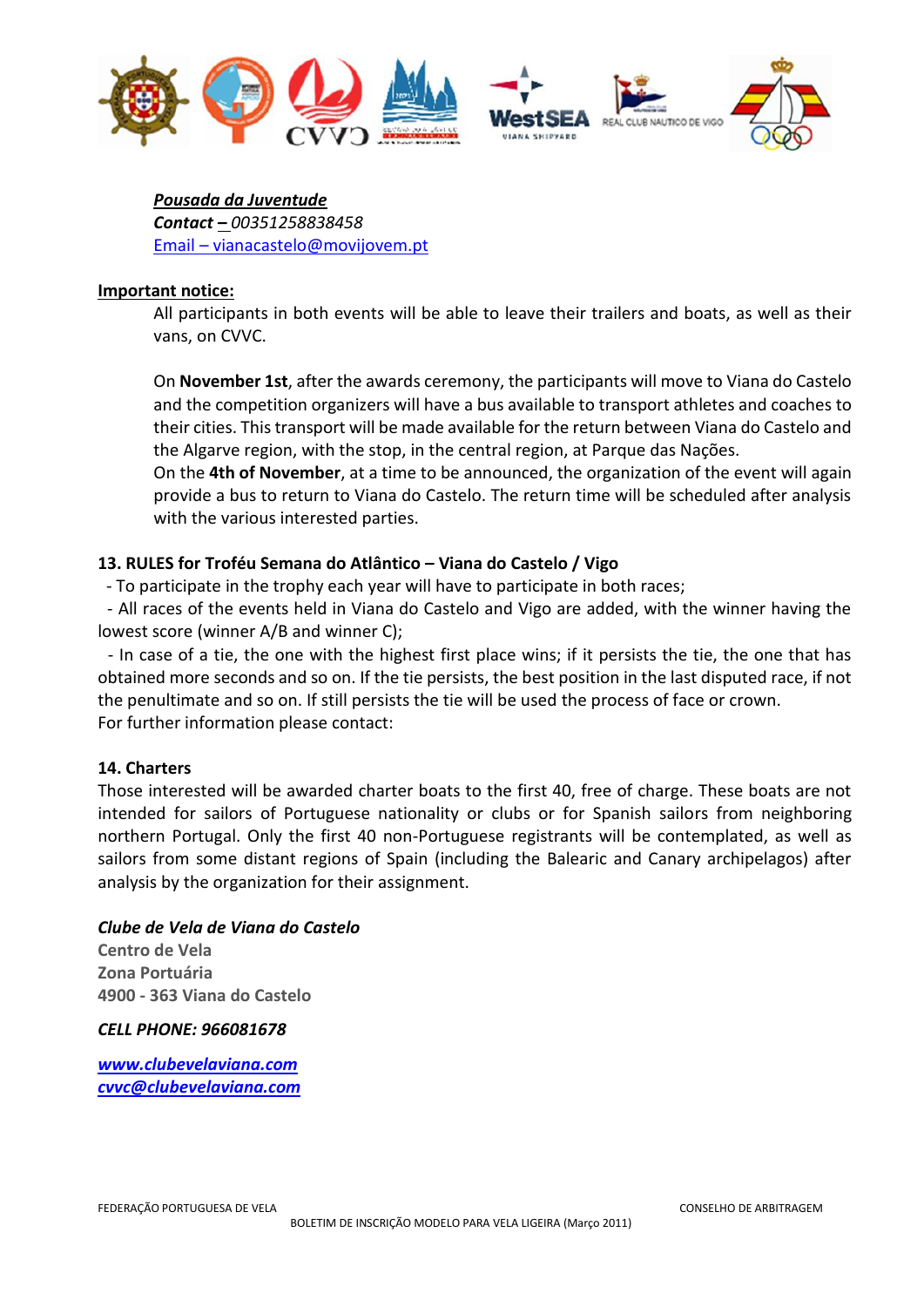

*Pousada da Juventude Contact – 00351258838458* Email – vianacastelo@movijovem.pt

#### **Important notice:**

All participants in both events will be able to leave their trailers and boats, as well as their vans, on CVVC.

On **November 1st**, after the awards ceremony, the participants will move to Viana do Castelo and the competition organizers will have a bus available to transport athletes and coaches to their cities. This transport will be made available for the return between Viana do Castelo and the Algarve region, with the stop, in the central region, at Parque das Nações.

On the **4th of November**, at a time to be announced, the organization of the event will again provide a bus to return to Viana do Castelo. The return time will be scheduled after analysis with the various interested parties.

# **13. RULES for Troféu Semana do Atlântico – Viana do Castelo / Vigo**

- To participate in the trophy each year will have to participate in both races;

- All races of the events held in Viana do Castelo and Vigo are added, with the winner having the lowest score (winner A/B and winner C);

- In case of a tie, the one with the highest first place wins; if it persists the tie, the one that has obtained more seconds and so on. If the tie persists, the best position in the last disputed race, if not the penultimate and so on. If still persists the tie will be used the process of face or crown. For further information please contact:

# **14. Charters**

Those interested will be awarded charter boats to the first 40, free of charge. These boats are not intended for sailors of Portuguese nationality or clubs or for Spanish sailors from neighboring northern Portugal. Only the first 40 non-Portuguese registrants will be contemplated, as well as sailors from some distant regions of Spain (including the Balearic and Canary archipelagos) after analysis by the organization for their assignment.

#### *Clube de Vela de Viana do Castelo*

**Centro de Vela Zona Portuária 4900 - 363 Viana do Castelo**

*CELL PHONE: 966081678*

*[www.clubevelaviana.com](http://www.clubevelaviana.com/) [cvvc@clubevelaviana.com](mailto:cvvc@clubevelaviana.com)*